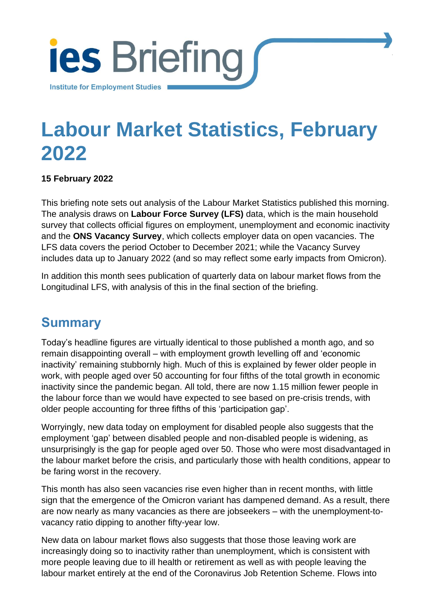

# **Labour Market Statistics, February 2022**

[Institute for Employment Studies](http://www.employment-studies.co.uk/) 1

### **15 February 2022**

This briefing note sets out analysis of the Labour Market Statistics published this morning. The analysis draws on **Labour Force Survey (LFS)** data, which is the main household survey that collects official figures on employment, unemployment and economic inactivity and the **ONS Vacancy Survey**, which collects employer data on open vacancies. The LFS data covers the period October to December 2021; while the Vacancy Survey includes data up to January 2022 (and so may reflect some early impacts from Omicron).

In addition this month sees publication of quarterly data on labour market flows from the Longitudinal LFS, with analysis of this in the final section of the briefing.

### **Summary**

Today's headline figures are virtually identical to those published a month ago, and so remain disappointing overall – with employment growth levelling off and 'economic inactivity' remaining stubbornly high. Much of this is explained by fewer older people in work, with people aged over 50 accounting for four fifths of the total growth in economic inactivity since the pandemic began. All told, there are now 1.15 million fewer people in the labour force than we would have expected to see based on pre-crisis trends, with older people accounting for three fifths of this 'participation gap'.

Worryingly, new data today on employment for disabled people also suggests that the employment 'gap' between disabled people and non-disabled people is widening, as unsurprisingly is the gap for people aged over 50. Those who were most disadvantaged in the labour market before the crisis, and particularly those with health conditions, appear to be faring worst in the recovery.

This month has also seen vacancies rise even higher than in recent months, with little sign that the emergence of the Omicron variant has dampened demand. As a result, there are now nearly as many vacancies as there are jobseekers – with the unemployment-tovacancy ratio dipping to another fifty-year low.

New data on labour market flows also suggests that those those leaving work are increasingly doing so to inactivity rather than unemployment, which is consistent with more people leaving due to ill health or retirement as well as with people leaving the labour market entirely at the end of the Coronavirus Job Retention Scheme. Flows into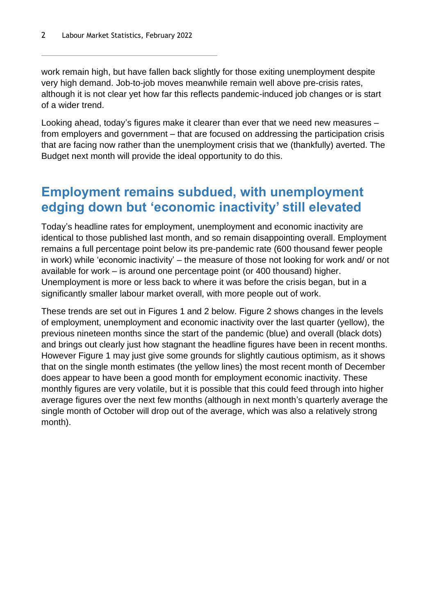work remain high, but have fallen back slightly for those exiting unemployment despite very high demand. Job-to-job moves meanwhile remain well above pre-crisis rates, although it is not clear yet how far this reflects pandemic-induced job changes or is start of a wider trend.

Looking ahead, today's figures make it clearer than ever that we need new measures – from employers and government – that are focused on addressing the participation crisis that are facing now rather than the unemployment crisis that we (thankfully) averted. The Budget next month will provide the ideal opportunity to do this.

## **Employment remains subdued, with unemployment edging down but 'economic inactivity' still elevated**

Today's headline rates for employment, unemployment and economic inactivity are identical to those published last month, and so remain disappointing overall. Employment remains a full percentage point below its pre-pandemic rate (600 thousand fewer people in work) while 'economic inactivity' – the measure of those not looking for work and/ or not available for work – is around one percentage point (or 400 thousand) higher. Unemployment is more or less back to where it was before the crisis began, but in a significantly smaller labour market overall, with more people out of work.

These trends are set out in Figures 1 and 2 below. [Figure 2](#page-2-0) shows changes in the levels of employment, unemployment and economic inactivity over the last quarter (yellow), the previous nineteen months since the start of the pandemic (blue) and overall (black dots) and brings out clearly just how stagnant the headline figures have been in recent months. However [Figure 1](#page-2-1) may just give some grounds for slightly cautious optimism, as it shows that on the single month estimates (the yellow lines) the most recent month of December does appear to have been a good month for employment economic inactivity. These monthly figures are very volatile, but it is possible that this could feed through into higher average figures over the next few months (although in next month's quarterly average the single month of October will drop out of the average, which was also a relatively strong month).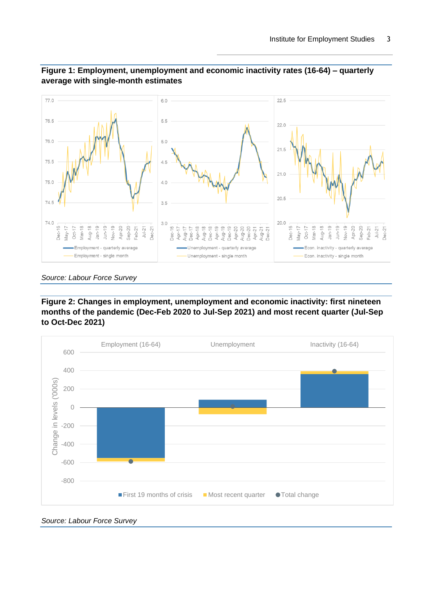

### <span id="page-2-1"></span>**Figure 1: Employment, unemployment and economic inactivity rates (16-64) – quarterly average with single-month estimates**

*Source: Labour Force Survey*

<span id="page-2-0"></span>



*Source: Labour Force Survey*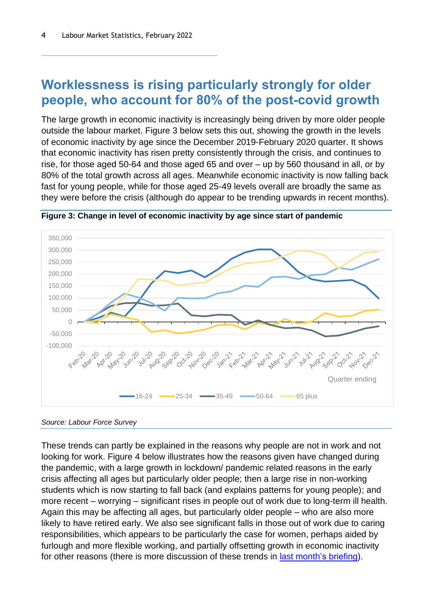### **Worklessness is rising particularly strongly for older people, who account for 80% of the post-covid growth**

The large growth in economic inactivity is increasingly being driven by more older people outside the labour market. [Figure 3](#page-3-0) below sets this out, showing the growth in the levels of economic inactivity by age since the December 2019-February 2020 quarter. It shows that economic inactivity has risen pretty consistently through the crisis, and continues to rise, for those aged 50-64 and those aged 65 and over – up by 560 thousand in all, or by 80% of the total growth across all ages. Meanwhile economic inactivity is now falling back fast for young people, while for those aged 25-49 levels overall are broadly the same as they were before the crisis (although do appear to be trending upwards in recent months).



<span id="page-3-0"></span>**Figure 3: Change in level of economic inactivity by age since start of pandemic**

#### *Source: Labour Force Survey*

These trends can partly be explained in the reasons why people are not in work and not looking for work. [Figure 4](#page-4-0) below illustrates how the reasons given have changed during the pandemic, with a large growth in lockdown/ pandemic related reasons in the early crisis affecting all ages but particularly older people; then a large rise in non-working students which is now starting to fall back (and explains patterns for young people); and more recent – worrying – significant rises in people out of work due to long-term ill health. Again this may be affecting all ages, but particularly older people – who are also more likely to have retired early. We also see significant falls in those out of work due to caring responsibilities, which appears to be particularly the case for women, perhaps aided by furlough and more flexible working, and partially offsetting growth in economic inactivity for other reasons (there is more discussion of these trends in [last month's briefing\)](https://www.employment-studies.co.uk/resource/labour-market-statistics-december-2021).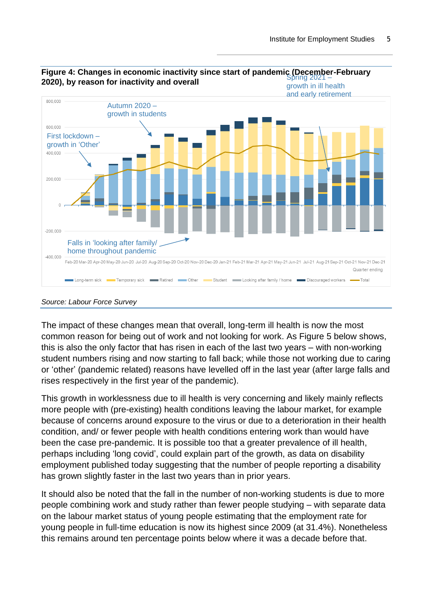

<span id="page-4-0"></span>

#### *Source: Labour Force Survey*

The impact of these changes mean that overall, long-term ill health is now the most common reason for being out of work and not looking for work. As [Figure 5](#page-5-0) below shows, this is also the only factor that has risen in each of the last two years – with non-working student numbers rising and now starting to fall back; while those not working due to caring or 'other' (pandemic related) reasons have levelled off in the last year (after large falls and rises respectively in the first year of the pandemic).

This growth in worklessness due to ill health is very concerning and likely mainly reflects more people with (pre-existing) health conditions leaving the labour market, for example because of concerns around exposure to the virus or due to a deterioration in their health condition, and/ or fewer people with health conditions entering work than would have been the case pre-pandemic. It is possible too that a greater prevalence of ill health, perhaps including 'long covid', could explain part of the growth, as data on disability employment published today suggesting that the number of people reporting a disability has grown slightly faster in the last two years than in prior years.

It should also be noted that the fall in the number of non-working students is due to more people combining work and study rather than fewer people studying – with separate data on the labour market status of young people estimating that the employment rate for young people in full-time education is now its highest since 2009 (at 31.4%). Nonetheless this remains around ten percentage points below where it was a decade before that.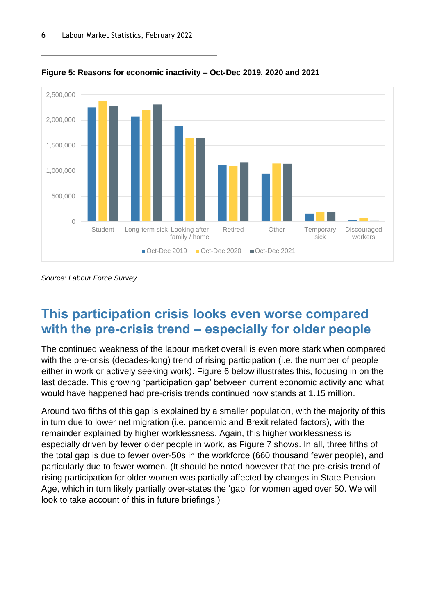

<span id="page-5-0"></span>**Figure 5: Reasons for economic inactivity – Oct-Dec 2019, 2020 and 2021**

*Source: Labour Force Survey*

### **This participation crisis looks even worse compared with the pre-crisis trend – especially for older people**

The continued weakness of the labour market overall is even more stark when compared with the pre-crisis (decades-long) trend of rising participation (i.e. the number of people either in work or actively seeking work). [Figure 6](#page-6-0) below illustrates this, focusing in on the last decade. This growing 'participation gap' between current economic activity and what would have happened had pre-crisis trends continued now stands at 1.15 million.

Around two fifths of this gap is explained by a smaller population, with the majority of this in turn due to lower net migration (i.e. pandemic and Brexit related factors), with the remainder explained by higher worklessness. Again, this higher worklessness is especially driven by fewer older people in work, as [Figure 7](#page-6-1) shows. In all, three fifths of the total gap is due to fewer over-50s in the workforce (660 thousand fewer people), and particularly due to fewer women. (It should be noted however that the pre-crisis trend of rising participation for older women was partially affected by changes in State Pension Age, which in turn likely partially over-states the 'gap' for women aged over 50. We will look to take account of this in future briefings.)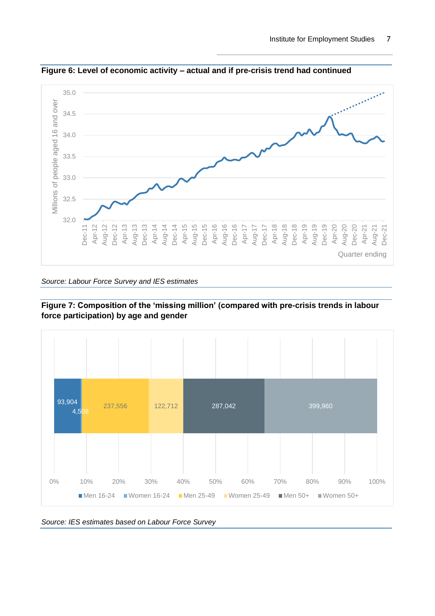

<span id="page-6-0"></span>**Figure 6: Level of economic activity – actual and if pre-crisis trend had continued**

*Source: Labour Force Survey and IES estimates*

<span id="page-6-1"></span>



*Source: IES estimates based on Labour Force Survey*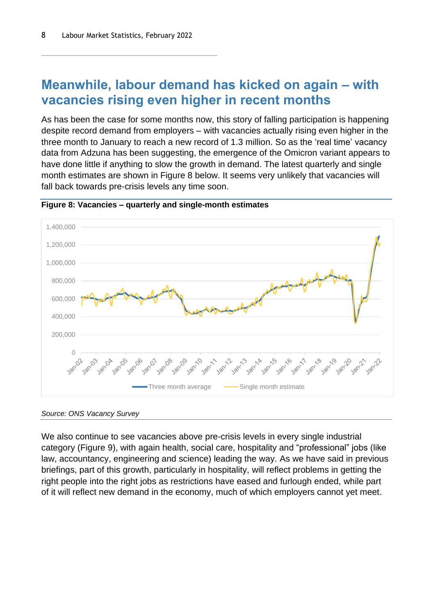### **Meanwhile, labour demand has kicked on again – with vacancies rising even higher in recent months**

As has been the case for some months now, this story of falling participation is happening despite record demand from employers – with vacancies actually rising even higher in the three month to January to reach a new record of 1.3 million. So as the 'real time' vacancy data from Adzuna has been suggesting, the emergence of the Omicron variant appears to have done little if anything to slow the growth in demand. The latest quarterly and single month estimates are shown in [Figure 8](#page-7-0) below. It seems very unlikely that vacancies will fall back towards pre-crisis levels any time soon.



<span id="page-7-0"></span>**Figure 8: Vacancies – quarterly and single-month estimates**

We also continue to see vacancies above pre-crisis levels in every single industrial category [\(Figure 9\)](#page-8-0), with again health, social care, hospitality and "professional" jobs (like law, accountancy, engineering and science) leading the way. As we have said in previous briefings, part of this growth, particularly in hospitality, will reflect problems in getting the right people into the right jobs as restrictions have eased and furlough ended, while part of it will reflect new demand in the economy, much of which employers cannot yet meet.

*Source: ONS Vacancy Survey*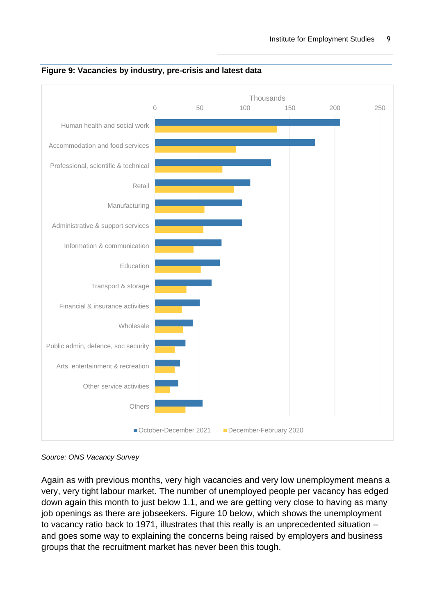

<span id="page-8-0"></span>**Figure 9: Vacancies by industry, pre-crisis and latest data**

Again as with previous months, very high vacancies and very low unemployment means a very, very tight labour market. The number of unemployed people per vacancy has edged down again this month to just below 1.1, and we are getting very close to having as many job openings as there are jobseekers. [Figure 10](#page-9-0) below, which shows the unemployment to vacancy ratio back to 1971, illustrates that this really is an unprecedented situation – and goes some way to explaining the concerns being raised by employers and business groups that the recruitment market has never been this tough.

*Source: ONS Vacancy Survey*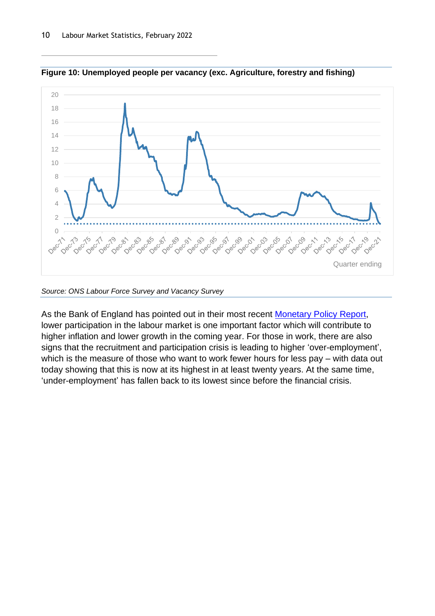

<span id="page-9-0"></span>**Figure 10: Unemployed people per vacancy (exc. Agriculture, forestry and fishing)**

*Source: ONS Labour Force Survey and Vacancy Survey*

As the Bank of England has pointed out in their most recent [Monetary Policy Report,](https://www.bankofengland.co.uk/monetary-policy-report/2022/february-2022) lower participation in the labour market is one important factor which will contribute to higher inflation and lower growth in the coming year. For those in work, there are also signs that the recruitment and participation crisis is leading to higher 'over-employment', which is the measure of those who want to work fewer hours for less pay – with data out today showing that this is now at its highest in at least twenty years. At the same time, 'under-employment' has fallen back to its lowest since before the financial crisis.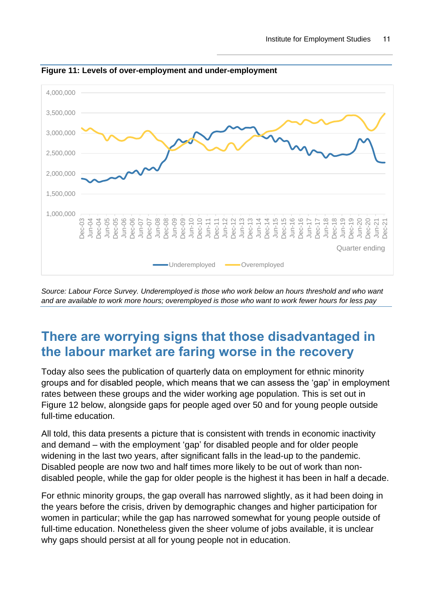

**Figure 11: Levels of over-employment and under-employment**

*Source: Labour Force Survey. Underemployed is those who work below an hours threshold and who want and are available to work more hours; overemployed is those who want to work fewer hours for less pay*

### **There are worrying signs that those disadvantaged in the labour market are faring worse in the recovery**

Today also sees the publication of quarterly data on employment for ethnic minority groups and for disabled people, which means that we can assess the 'gap' in employment rates between these groups and the wider working age population. This is set out in [Figure 12](#page-11-0) below, alongside gaps for people aged over 50 and for young people outside full-time education.

All told, this data presents a picture that is consistent with trends in economic inactivity and demand – with the employment 'gap' for disabled people and for older people widening in the last two years, after significant falls in the lead-up to the pandemic. Disabled people are now two and half times more likely to be out of work than nondisabled people, while the gap for older people is the highest it has been in half a decade.

For ethnic minority groups, the gap overall has narrowed slightly, as it had been doing in the years before the crisis, driven by demographic changes and higher participation for women in particular; while the gap has narrowed somewhat for young people outside of full-time education. Nonetheless given the sheer volume of jobs available, it is unclear why gaps should persist at all for young people not in education.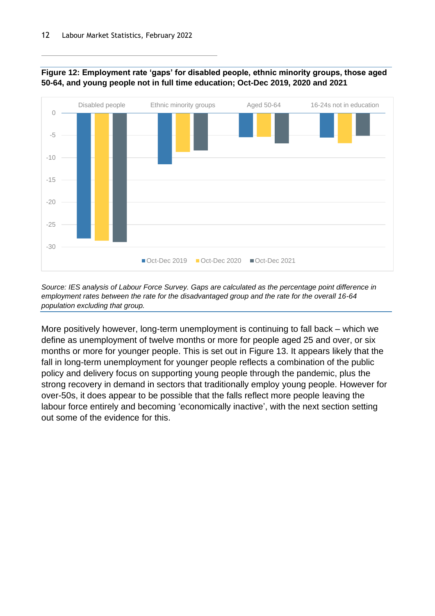

<span id="page-11-0"></span>

More positively however, long-term unemployment is continuing to fall back – which we define as unemployment of twelve months or more for people aged 25 and over, or six months or more for younger people. This is set out in [Figure 13.](#page-12-0) It appears likely that the fall in long-term unemployment for younger people reflects a combination of the public policy and delivery focus on supporting young people through the pandemic, plus the strong recovery in demand in sectors that traditionally employ young people. However for over-50s, it does appear to be possible that the falls reflect more people leaving the labour force entirely and becoming 'economically inactive', with the next section setting out some of the evidence for this.

*Source: IES analysis of Labour Force Survey. Gaps are calculated as the percentage point difference in employment rates between the rate for the disadvantaged group and the rate for the overall 16-64 population excluding that group.*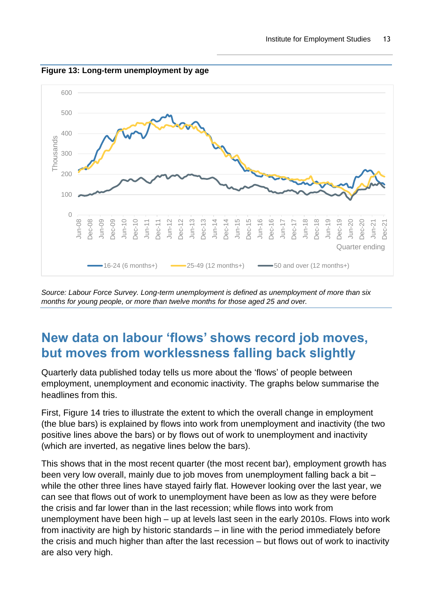

<span id="page-12-0"></span>**Figure 13: Long-term unemployment by age**

*Source: Labour Force Survey. Long-term unemployment is defined as unemployment of more than six months for young people, or more than twelve months for those aged 25 and over.*

### **New data on labour 'flows' shows record job moves, but moves from worklessness falling back slightly**

Quarterly data published today tells us more about the 'flows' of people between employment, unemployment and economic inactivity. The graphs below summarise the headlines from this.

First, [Figure 14](#page-13-0) tries to illustrate the extent to which the overall change in employment (the blue bars) is explained by flows into work from unemployment and inactivity (the two positive lines above the bars) or by flows out of work to unemployment and inactivity (which are inverted, as negative lines below the bars).

This shows that in the most recent quarter (the most recent bar), employment growth has been very low overall, mainly due to job moves from unemployment falling back a bit – while the other three lines have stayed fairly flat. However looking over the last year, we can see that flows out of work to unemployment have been as low as they were before the crisis and far lower than in the last recession; while flows into work from unemployment have been high – up at levels last seen in the early 2010s. Flows into work from inactivity are high by historic standards – in line with the period immediately before the crisis and much higher than after the last recession – but flows out of work to inactivity are also very high.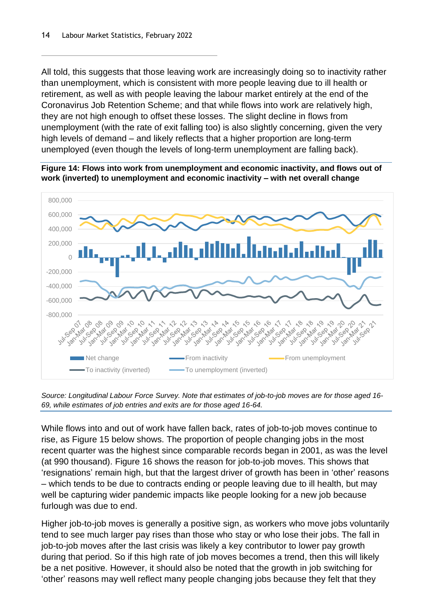All told, this suggests that those leaving work are increasingly doing so to inactivity rather than unemployment, which is consistent with more people leaving due to ill health or retirement, as well as with people leaving the labour market entirely at the end of the Coronavirus Job Retention Scheme; and that while flows into work are relatively high, they are not high enough to offset these losses. The slight decline in flows from unemployment (with the rate of exit falling too) is also slightly concerning, given the very high levels of demand – and likely reflects that a higher proportion are long-term unemployed (even though the levels of long-term unemployment are falling back).



<span id="page-13-0"></span>**Figure 14: Flows into work from unemployment and economic inactivity, and flows out of work (inverted) to unemployment and economic inactivity – with net overall change**

*Source: Longitudinal Labour Force Survey. Note that estimates of job-to-job moves are for those aged 16- 69, while estimates of job entries and exits are for those aged 16-64.*

While flows into and out of work have fallen back, rates of job-to-job moves continue to rise, as [Figure 15](#page-14-0) below shows. The proportion of people changing jobs in the most recent quarter was the highest since comparable records began in 2001, as was the level (at 990 thousand). [Figure 16](#page-14-1) shows the reason for job-to-job moves. This shows that 'resignations' remain high, but that the largest driver of growth has been in 'other' reasons – which tends to be due to contracts ending or people leaving due to ill health, but may well be capturing wider pandemic impacts like people looking for a new job because furlough was due to end.

Higher job-to-job moves is generally a positive sign, as workers who move jobs voluntarily tend to see much larger pay rises than those who stay or who lose their jobs. The fall in job-to-job moves after the last crisis was likely a key contributor to lower pay growth during that period. So if this high rate of job moves becomes a trend, then this will likely be a net positive. However, it should also be noted that the growth in job switching for 'other' reasons may well reflect many people changing jobs because they felt that they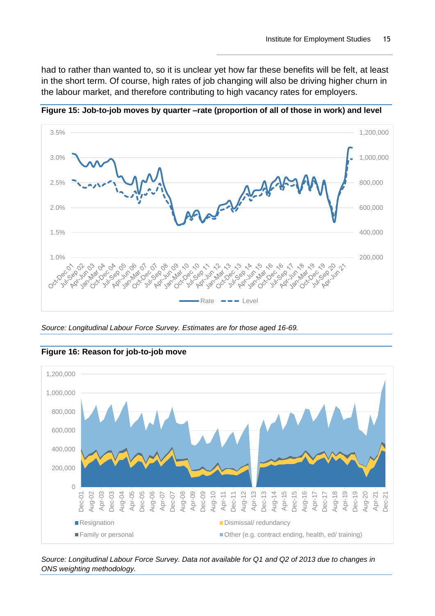had to rather than wanted to, so it is unclear yet how far these benefits will be felt, at least in the short term. Of course, high rates of job changing will also be driving higher churn in the labour market, and therefore contributing to high vacancy rates for employers.



<span id="page-14-0"></span>**Figure 15: Job-to-job moves by quarter –rate (proportion of all of those in work) and level**

*Source: Longitudinal Labour Force Survey. Estimates are for those aged 16-69.*



<span id="page-14-1"></span>**Figure 16: Reason for job-to-job move**

*Source: Longitudinal Labour Force Survey. Data not available for Q1 and Q2 of 2013 due to changes in ONS weighting methodology.*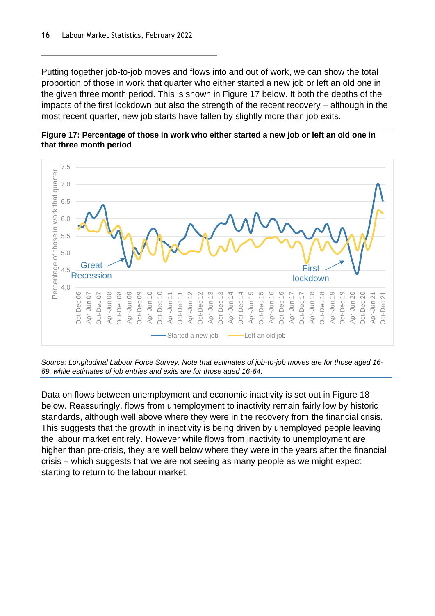Putting together job-to-job moves and flows into and out of work, we can show the total proportion of those in work that quarter who either started a new job or left an old one in the given three month period. This is shown in [Figure 17](#page-15-0) below. It both the depths of the impacts of the first lockdown but also the strength of the recent recovery – although in the most recent quarter, new job starts have fallen by slightly more than job exits.

<span id="page-15-0"></span>



*Source: Longitudinal Labour Force Survey. Note that estimates of job-to-job moves are for those aged 16- 69, while estimates of job entries and exits are for those aged 16-64.*

Data on flows between unemployment and economic inactivity is set out in [Figure 18](#page-16-0) below. Reassuringly, flows from unemployment to inactivity remain fairly low by historic standards, although well above where they were in the recovery from the financial crisis. This suggests that the growth in inactivity is being driven by unemployed people leaving the labour market entirely. However while flows from inactivity to unemployment are higher than pre-crisis, they are well below where they were in the years after the financial crisis – which suggests that we are not seeing as many people as we might expect starting to return to the labour market.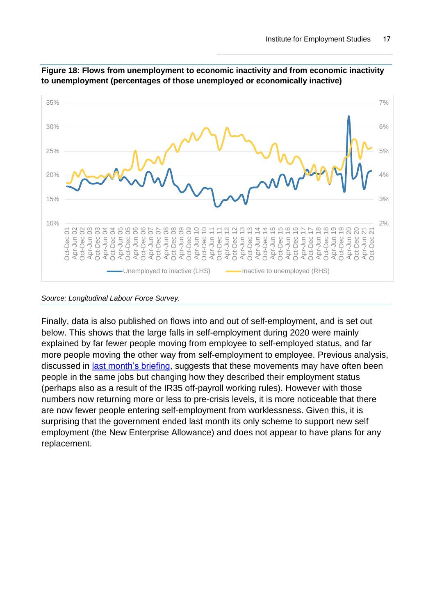

<span id="page-16-0"></span>**Figure 18: Flows from unemployment to economic inactivity and from economic inactivity to unemployment (percentages of those unemployed or economically inactive)**

Finally, data is also published on flows into and out of self-employment, and is set out below. This shows that the large falls in self-employment during 2020 were mainly explained by far fewer people moving from employee to self-employed status, and far more people moving the other way from self-employment to employee. Previous analysis, discussed in [last month's briefing,](https://www.employment-studies.co.uk/resource/labour-market-statistics-december-2021) suggests that these movements may have often been people in the same jobs but changing how they described their employment status (perhaps also as a result of the IR35 off-payroll working rules). However with those numbers now returning more or less to pre-crisis levels, it is more noticeable that there are now fewer people entering self-employment from worklessness. Given this, it is surprising that the government ended last month its only scheme to support new self employment (the New Enterprise Allowance) and does not appear to have plans for any replacement.

*Source: Longitudinal Labour Force Survey.*